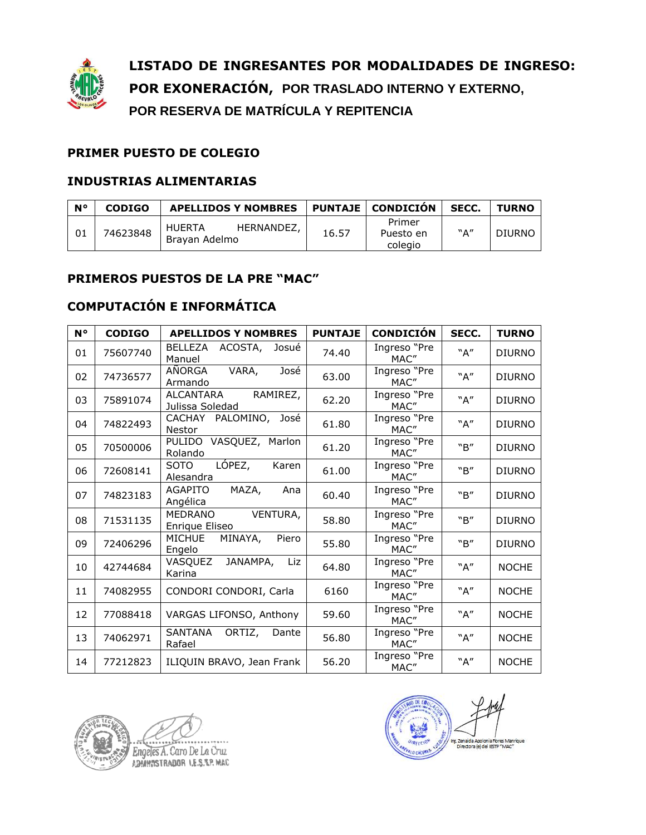

**LISTADO DE INGRESANTES POR MODALIDADES DE INGRESO: POR EXONERACIÓN, POR TRASLADO INTERNO Y EXTERNO, POR RESERVA DE MATRÍCULA Y REPITENCIA**

## **PRIMER PUESTO DE COLEGIO**

## **INDUSTRIAS ALIMENTARIAS**

| N۰ | <b>CODIGO</b> | <b>APELLIDOS Y NOMBRES</b>                   |       | <b>PUNTAJE   CONDICIÓN</b>     | SECC.        | <b>TURNO</b>  |
|----|---------------|----------------------------------------------|-------|--------------------------------|--------------|---------------|
|    | 74623848      | HERNANDEZ,<br><b>HUERTA</b><br>Bravan Adelmo | 16.57 | Primer<br>Puesto en<br>colegio | $``\Delta''$ | <b>DIURNO</b> |

## **PRIMEROS PUESTOS DE LA PRE "MAC"**

## **COMPUTACIÓN E INFORMÁTICA**

| N° | <b>CODIGO</b> | <b>APELLIDOS Y NOMBRES</b>                  | <b>PUNTAJE</b> | <b>CONDICIÓN</b>     | SECC. | <b>TURNO</b>  |
|----|---------------|---------------------------------------------|----------------|----------------------|-------|---------------|
| 01 | 75607740      | BELLEZA<br>ACOSTA,<br>Josué<br>Manuel       | 74.40          | Ingreso "Pre<br>MAC" | "A"   | <b>DIURNO</b> |
| 02 | 74736577      | AÑORGA<br>VARA,<br>José<br>Armando          | 63.00          | Ingreso "Pre<br>MAC" | "A"   | <b>DIURNO</b> |
| 03 | 75891074      | RAMIREZ,<br>ALCANTARA<br>Julissa Soledad    | 62.20          | Ingreso "Pre<br>MAC" | "A"   | <b>DIURNO</b> |
| 04 | 74822493      | CACHAY PALOMINO, José<br><b>Nestor</b>      | 61.80          | Ingreso "Pre<br>MAC" | "A"   | <b>DIURNO</b> |
| 05 | 70500006      | PULIDO VASQUEZ, Marlon<br>Rolando           | 61.20          | Ingreso "Pre<br>MAC" | "B"   | <b>DIURNO</b> |
| 06 | 72608141      | LÓPEZ,<br><b>SOTO</b><br>Karen<br>Alesandra | 61.00          | Ingreso "Pre<br>MAC" | "R"   | <b>DIURNO</b> |
| 07 | 74823183      | MAZA,<br><b>AGAPITO</b><br>Ana<br>Angélica  | 60.40          | Ingreso "Pre<br>MAC" | "R"   | <b>DIURNO</b> |
| 08 | 71531135      | MEDRANO<br>VENTURA,<br>Enrique Eliseo       | 58.80          | Ingreso "Pre<br>MAC" | "R"   | <b>DIURNO</b> |
| 09 | 72406296      | MINAYA,<br><b>MICHUE</b><br>Piero<br>Engelo | 55.80          | Ingreso "Pre<br>MAC" | "R"   | <b>DIURNO</b> |
| 10 | 42744684      | VASQUEZ<br>JANAMPA,<br>Liz<br>Karina        | 64.80          | Ingreso "Pre<br>MAC" | "A"   | <b>NOCHE</b>  |
| 11 | 74082955      | CONDORI CONDORI, Carla                      | 6160           | Ingreso "Pre<br>MAC" | "A"   | <b>NOCHE</b>  |
| 12 | 77088418      | VARGAS LIFONSO, Anthony                     | 59.60          | Ingreso "Pre<br>MAC" | "A"   | <b>NOCHE</b>  |
| 13 | 74062971      | SANTANA<br>ORTIZ,<br>Dante<br>Rafael        | 56.80          | Ingreso "Pre<br>MAC" | ``A'' | <b>NOCHE</b>  |
| 14 | 77212823      | ILIQUIN BRAVO, Jean Frank                   | 56.20          | Ingreso "Pre<br>MAC" | "A"   | <b>NOCHE</b>  |



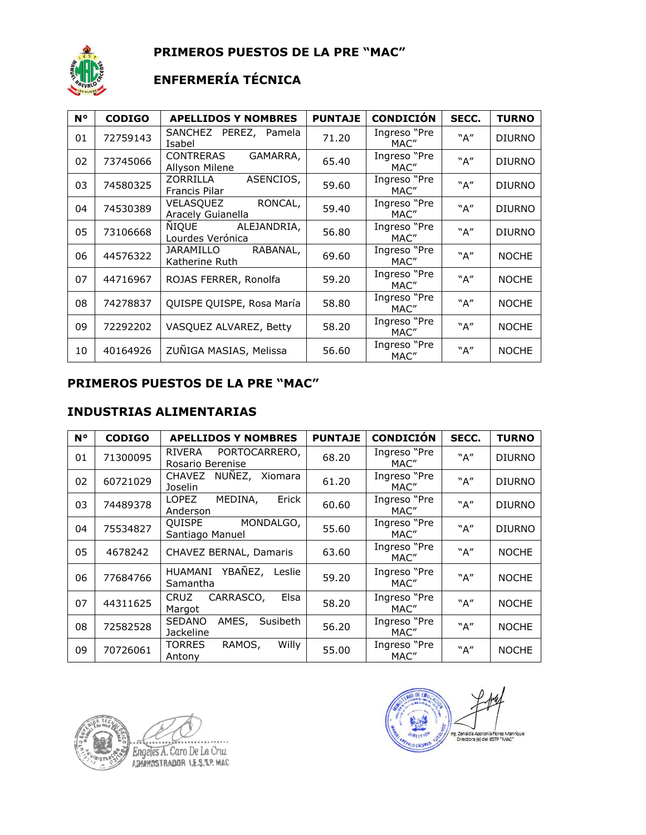

**PRIMEROS PUESTOS DE LA PRE "MAC"**

# **ENFERMERÍA TÉCNICA**

| <b>N°</b> | <b>CODIGO</b> | <b>APELLIDOS Y NOMBRES</b>                     | <b>PUNTAJE</b> | <b>CONDICIÓN</b>     | SECC. | <b>TURNO</b>  |
|-----------|---------------|------------------------------------------------|----------------|----------------------|-------|---------------|
| 01        | 72759143      | SANCHEZ PEREZ, Pamela<br>Isabel                | 71.20          | Ingreso "Pre<br>MAC" | "A"   | <b>DIURNO</b> |
| 02        | 73745066      | GAMARRA,<br><b>CONTRERAS</b><br>Allyson Milene | 65.40          | Ingreso "Pre<br>MAC" | "A"   | <b>DIURNO</b> |
| 03        | 74580325      | ZORRILLA<br>ASENCIOS,<br>Francis Pilar         | 59.60          | Ingreso "Pre<br>MAC" | "A"   | <b>DIURNO</b> |
| 04        | 74530389      | RONCAL,<br>VELASQUEZ<br>Aracely Guianella      | 59.40          | Ingreso "Pre<br>MAC" | "A"   | <b>DIURNO</b> |
| 05        | 73106668      | NIQUE<br>ALEJANDRIA,<br>Lourdes Verónica       | 56.80          | Ingreso "Pre<br>MAC" | "A"   | <b>DIURNO</b> |
| 06        | 44576322      | RABANAL,<br><b>JARAMILLO</b><br>Katherine Ruth | 69.60          | Ingreso "Pre<br>MAC" | "A"   | <b>NOCHE</b>  |
| 07        | 44716967      | ROJAS FERRER, Ronolfa                          | 59.20          | Ingreso "Pre<br>MAC" | "A"   | <b>NOCHE</b>  |
| 08        | 74278837      | QUISPE QUISPE, Rosa María                      | 58.80          | Ingreso "Pre<br>MAC" | "A"   | <b>NOCHE</b>  |
| 09        | 72292202      | VASQUEZ ALVAREZ, Betty                         | 58.20          | Ingreso "Pre<br>MAC" | "A"   | <b>NOCHE</b>  |
| 10        | 40164926      | ZUÑIGA MASIAS, Melissa                         | 56.60          | Ingreso "Pre<br>MAC" | "A"   | <b>NOCHE</b>  |

#### **PRIMEROS PUESTOS DE LA PRE "MAC"**

#### **INDUSTRIAS ALIMENTARIAS**

| <b>N°</b> | <b>CODIGO</b> | <b>APELLIDOS Y NOMBRES</b>                             | <b>PUNTAJE</b> | <b>CONDICIÓN</b>     | SECC. | <b>TURNO</b>  |
|-----------|---------------|--------------------------------------------------------|----------------|----------------------|-------|---------------|
| 01        | 71300095      | PORTOCARRERO,<br>RIVERA<br>Rosario Berenise            | 68.20          | Ingreso "Pre<br>MAC" | "A"   | <b>DIURNO</b> |
| 02        | 60721029      | NUNEZ, Xiomara<br><b>CHAVEZ</b><br>Joselin             | 61.20          | Ingreso "Pre<br>MAC" | "A"   | <b>DIURNO</b> |
| 03        | 74489378      | MEDINA,<br>LOPEZ<br>Erick<br>Anderson                  | 60.60          | Ingreso "Pre<br>MAC" | "A"   | <b>DIURNO</b> |
| 04        | 75534827      | QUISPE<br>MONDALGO,<br>Santiago Manuel                 | 55.60          | Ingreso "Pre<br>MAC" | "A"   | <b>DIURNO</b> |
| 05        | 4678242       | CHAVEZ BERNAL, Damaris                                 | 63.60          | Ingreso "Pre<br>MAC" | "A"   | <b>NOCHE</b>  |
| 06        | 77684766      | YBAÑEZ,<br><b>HUAMANI</b><br>Leslie<br>Samantha        | 59.20          | Ingreso "Pre<br>MAC" | "A"   | <b>NOCHE</b>  |
| 07        | 44311625      | CARRASCO,<br>Elsa<br><b>CRUZ</b><br>Margot             | 58.20          | Ingreso "Pre<br>MAC" | "A"   | <b>NOCHE</b>  |
| 08        | 72582528      | AMES,<br><b>SEDANO</b><br>Susibeth<br><b>Jackeline</b> | 56.20          | Ingreso "Pre<br>MAC" | "A"   | <b>NOCHE</b>  |
| 09        | 70726061      | <b>TORRES</b><br>RAMOS,<br>Willy<br>Antony             | 55.00          | Ingreso "Pre<br>MAC" | "A"   | <b>NOCHE</b>  |

Engeles A. Caro De La Cruz